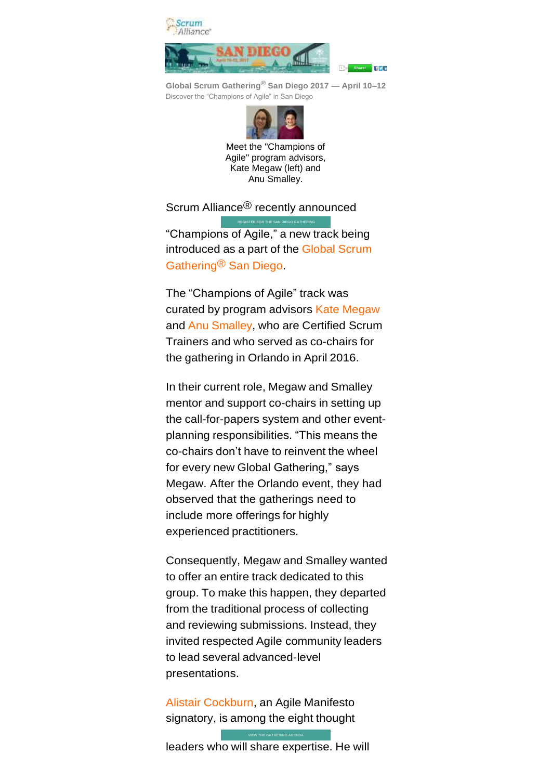

**Global Scrum Gathering® San Diego 2017 — April 10–12** Discover the "Champions of Agile" in San Diego



Meet the "Champions of Agile" program advisors, Kate Megaw (left) and Anu Smalley.

Scrum Alliance<sup>®</sup> recently announced

"Champions of Agile," a new track being introduced as a part of the Global [Scrum](https://www.scrumalliance.org/sgcal) [Gathering®](https://www.scrumalliance.org/sgcal) San Diego.

[REGISTER FOR THE SAN DIEGO GATHERING](https://www.regonline.com/builder/site/Default.aspx?EventID=1824001)

The "Champions of Agile" track was curated by program advisors Kate [Megaw](https://www.scrumalliance.org/community/profile/kmegaw) and Anu [Smalley,](https://www.scrumalliance.org/community/profile/asmalley) who are Certified Scrum Trainers and who served as co-chairs for the gathering in Orlando in April 2016.

In their current role, Megaw and Smalley mentor and support co-chairs in setting up the call-for-papers system and other eventplanning responsibilities. "This means the co-chairs don't have to reinvent the wheel for every new Global Gathering," says Megaw. After the Orlando event, they had observed that the gatherings need to include more offerings for highly experienced practitioners.

Consequently, Megaw and Smalley wanted to offer an entire track dedicated to this group. To make this happen, they departed from the traditional process of collecting and reviewing submissions. Instead, they invited respected Agile community leaders to lead several advanced-level presentations.

Alistair [Cockburn,](https://www.scrumalliance.org/community/profile/acockburn) an Agile Manifesto signatory, is among the eight thought

leaders who will share expertise. He will

[VIEW THE GATHERING AGENDA](https://www.scrumalliance.org/courses-events/events/global-gatherings/2017/sandiego-2017/schedule-and-program)